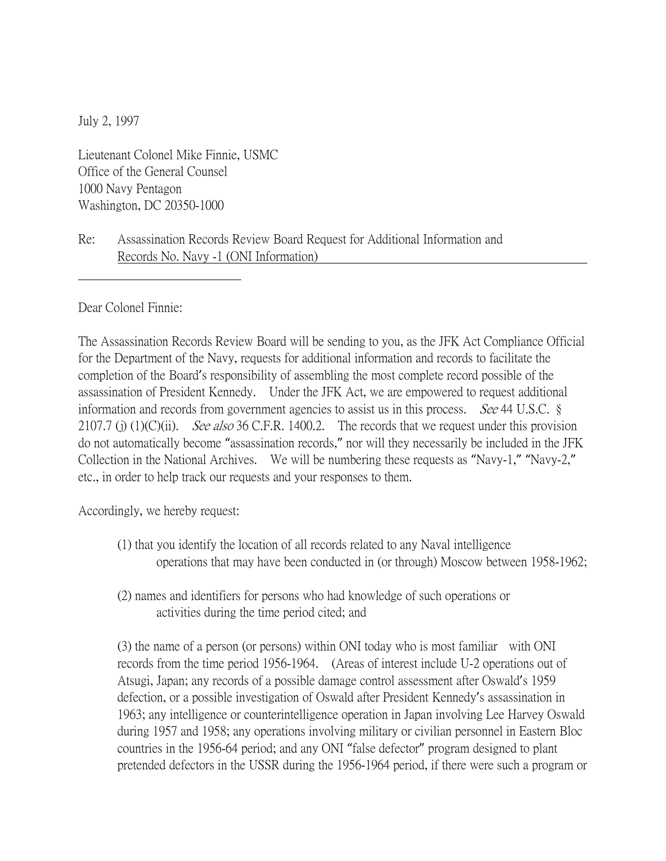July 2, 1997

Lieutenant Colonel Mike Finnie, USMC Office of the General Counsel 1000 Navy Pentagon Washington, DC 20350-1000

## Re: Assassination Records Review Board Request for Additional Information and Records No. Navy -1 (ONI Information)

Dear Colonel Finnie:

The Assassination Records Review Board will be sending to you, as the JFK Act Compliance Official for the Department of the Navy, requests for additional information and records to facilitate the completion of the Board's responsibility of assembling the most complete record possible of the assassination of President Kennedy. Under the JFK Act, we are empowered to request additional information and records from government agencies to assist us in this process. *See* 44 U.S.C.  $\S$ 2107.7 (j) (1)(C)(ii). See also 36 C.F.R. 1400.2. The records that we request under this provision do not automatically become "assassination records," nor will they necessarily be included in the JFK Collection in the National Archives. We will be numbering these requests as "Navy-1," "Navy-2," etc., in order to help track our requests and your responses to them.

Accordingly, we hereby request:

- (1) that you identify the location of all records related to any Naval intelligence operations that may have been conducted in (or through) Moscow between 1958-1962;
- (2) names and identifiers for persons who had knowledge of such operations or activities during the time period cited; and

(3) the name of a person (or persons) within ONI today who is most familiar with ONI records from the time period 1956-1964. (Areas of interest include U-2 operations out of Atsugi, Japan; any records of a possible damage control assessment after Oswald's 1959 defection, or a possible investigation of Oswald after President Kennedy's assassination in 1963; any intelligence or counterintelligence operation in Japan involving Lee Harvey Oswald during 1957 and 1958; any operations involving military or civilian personnel in Eastern Bloc countries in the 1956-64 period; and any ONI "false defector" program designed to plant pretended defectors in the USSR during the 1956-1964 period, if there were such a program or